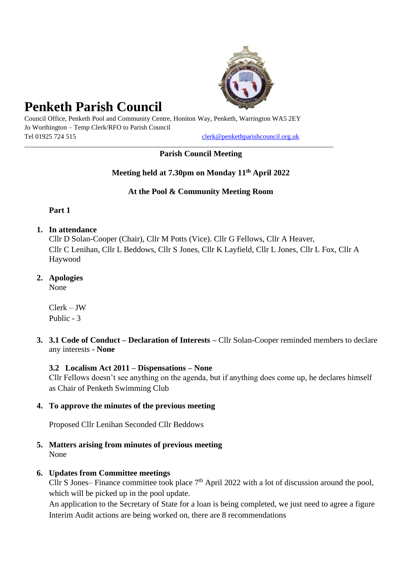

# **Penketh Parish Council**

Council Office, Penketh Pool and Community Centre, Honiton Way, Penketh, Warrington WA5 2EY Jo Worthington – Temp Clerk/RFO to Parish Council Tel 01925 724 515 [clerk@penkethparishcouncil.org.uk](mailto:clerk@penkethparishcouncil.org.uk)

\_\_\_\_\_\_\_\_\_\_\_\_\_\_\_\_\_\_\_\_\_\_\_\_\_\_\_\_\_\_\_\_\_\_\_\_\_\_\_\_\_\_\_\_\_\_\_\_\_\_\_\_\_\_\_\_\_\_\_\_\_\_\_\_\_\_\_\_\_\_\_\_\_\_\_\_\_\_\_\_\_\_\_\_\_\_\_\_\_\_\_\_\_\_\_\_\_\_\_\_\_\_\_\_\_\_\_\_\_\_\_\_\_\_

# **Parish Council Meeting**

# **Meeting held at 7.30pm on Monday 11 th April 2022**

# **At the Pool & Community Meeting Room**

**Part 1**

**1. In attendance**

Cllr D Solan-Cooper (Chair), Cllr M Potts (Vice). Cllr G Fellows, Cllr A Heaver, Cllr C Lenihan, Cllr L Beddows, Cllr S Jones, Cllr K Layfield, Cllr L Jones, Cllr L Fox, Cllr A Haywood

**2. Apologies**

None

Clerk – JW Public - 3

**3. 3.1 Code of Conduct – Declaration of Interests –** Cllr Solan-Cooper reminded members to declare any interests **- None**

# **3.2 Localism Act 2011 – Dispensations – None**

Cllr Fellows doesn't see anything on the agenda, but if anything does come up, he declares himself as Chair of Penketh Swimming Club

# **4. To approve the minutes of the previous meeting**

Proposed Cllr Lenihan Seconded Cllr Beddows

**5. Matters arising from minutes of previous meeting** None

# **6. Updates from Committee meetings**

Cllr S Jones– Finance committee took place  $7<sup>th</sup>$  April 2022 with a lot of discussion around the pool, which will be picked up in the pool update.

An application to the Secretary of State for a loan is being completed, we just need to agree a figure Interim Audit actions are being worked on, there are 8 recommendations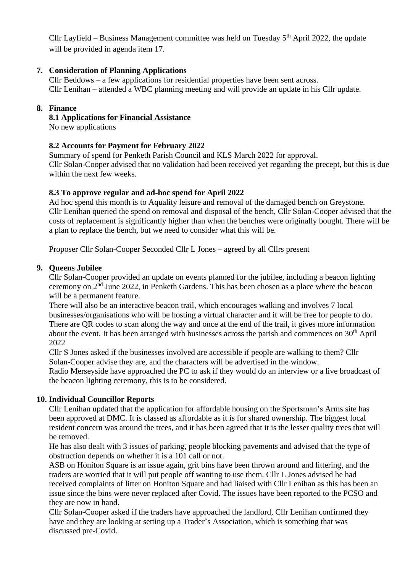Cllr Layfield – Business Management committee was held on Tuesday  $5<sup>th</sup>$  April 2022, the update will be provided in agenda item 17.

# **7. Consideration of Planning Applications**

Cllr Beddows – a few applications for residential properties have been sent across. Cllr Lenihan – attended a WBC planning meeting and will provide an update in his Cllr update.

# **8. Finance**

**8.1 Applications for Financial Assistance**

No new applications

# **8.2 Accounts for Payment for February 2022**

Summary of spend for Penketh Parish Council and KLS March 2022 for approval. Cllr Solan-Cooper advised that no validation had been received yet regarding the precept, but this is due within the next few weeks.

# **8.3 To approve regular and ad-hoc spend for April 2022**

Ad hoc spend this month is to Aquality leisure and removal of the damaged bench on Greystone. Cllr Lenihan queried the spend on removal and disposal of the bench, Cllr Solan-Cooper advised that the costs of replacement is significantly higher than when the benches were originally bought. There will be a plan to replace the bench, but we need to consider what this will be.

Proposer Cllr Solan-Cooper Seconded Cllr L Jones – agreed by all Cllrs present

## **9. Queens Jubilee**

Cllr Solan-Cooper provided an update on events planned for the jubilee, including a beacon lighting ceremony on 2nd June 2022, in Penketh Gardens. This has been chosen as a place where the beacon will be a permanent feature.

There will also be an interactive beacon trail, which encourages walking and involves 7 local businesses/organisations who will be hosting a virtual character and it will be free for people to do. There are QR codes to scan along the way and once at the end of the trail, it gives more information about the event. It has been arranged with businesses across the parish and commences on 30th April 2022

Cllr S Jones asked if the businesses involved are accessible if people are walking to them? Cllr Solan-Cooper advise they are, and the characters will be advertised in the window.

Radio Merseyside have approached the PC to ask if they would do an interview or a live broadcast of the beacon lighting ceremony, this is to be considered.

## **10. Individual Councillor Reports**

Cllr Lenihan updated that the application for affordable housing on the Sportsman's Arms site has been approved at DMC. It is classed as affordable as it is for shared ownership. The biggest local resident concern was around the trees, and it has been agreed that it is the lesser quality trees that will be removed.

He has also dealt with 3 issues of parking, people blocking pavements and advised that the type of obstruction depends on whether it is a 101 call or not.

ASB on Honiton Square is an issue again, grit bins have been thrown around and littering, and the traders are worried that it will put people off wanting to use them. Cllr L Jones advised he had received complaints of litter on Honiton Square and had liaised with Cllr Lenihan as this has been an issue since the bins were never replaced after Covid. The issues have been reported to the PCSO and they are now in hand.

Cllr Solan-Cooper asked if the traders have approached the landlord, Cllr Lenihan confirmed they have and they are looking at setting up a Trader's Association, which is something that was discussed pre-Covid.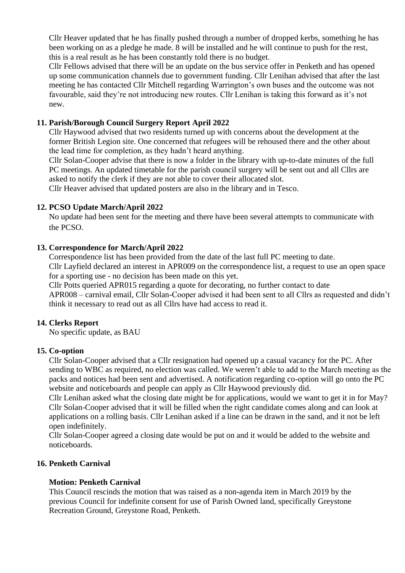Cllr Heaver updated that he has finally pushed through a number of dropped kerbs, something he has been working on as a pledge he made. 8 will be installed and he will continue to push for the rest, this is a real result as he has been constantly told there is no budget.

Cllr Fellows advised that there will be an update on the bus service offer in Penketh and has opened up some communication channels due to government funding. Cllr Lenihan advised that after the last meeting he has contacted Cllr Mitchell regarding Warrington's own buses and the outcome was not favourable, said they're not introducing new routes. Cllr Lenihan is taking this forward as it's not new.

## **11. Parish/Borough Council Surgery Report April 2022**

Cllr Haywood advised that two residents turned up with concerns about the development at the former British Legion site. One concerned that refugees will be rehoused there and the other about the lead time for completion, as they hadn't heard anything.

Cllr Solan-Cooper advise that there is now a folder in the library with up-to-date minutes of the full PC meetings. An updated timetable for the parish council surgery will be sent out and all Cllrs are asked to notify the clerk if they are not able to cover their allocated slot.

Cllr Heaver advised that updated posters are also in the library and in Tesco.

#### **12. PCSO Update March/April 2022**

No update had been sent for the meeting and there have been several attempts to communicate with the PCSO.

#### **13. Correspondence for March/April 2022**

Correspondence list has been provided from the date of the last full PC meeting to date.

Cllr Layfield declared an interest in APR009 on the correspondence list, a request to use an open space for a sporting use - no decision has been made on this yet.

Cllr Potts queried APR015 regarding a quote for decorating, no further contact to date

APR008 – carnival email, Cllr Solan-Cooper advised it had been sent to all Cllrs as requested and didn't think it necessary to read out as all Cllrs have had access to read it.

#### **14. Clerks Report**

No specific update, as BAU

#### **15. Co-option**

Cllr Solan-Cooper advised that a Cllr resignation had opened up a casual vacancy for the PC. After sending to WBC as required, no election was called. We weren't able to add to the March meeting as the packs and notices had been sent and advertised. A notification regarding co-option will go onto the PC website and noticeboards and people can apply as Cllr Haywood previously did.

Cllr Lenihan asked what the closing date might be for applications, would we want to get it in for May? Cllr Solan-Cooper advised that it will be filled when the right candidate comes along and can look at applications on a rolling basis. Cllr Lenihan asked if a line can be drawn in the sand, and it not be left open indefinitely.

Cllr Solan-Cooper agreed a closing date would be put on and it would be added to the website and noticeboards.

## **16. Penketh Carnival**

#### **Motion: Penketh Carnival**

This Council rescinds the motion that was raised as a non-agenda item in March 2019 by the previous Council for indefinite consent for use of Parish Owned land, specifically Greystone Recreation Ground, Greystone Road, Penketh.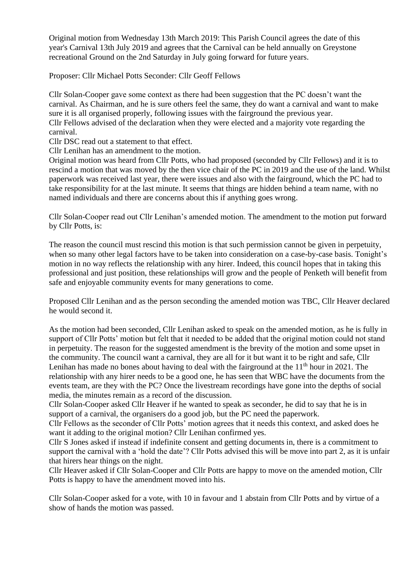Original motion from Wednesday 13th March 2019: This Parish Council agrees the date of this year's Carnival 13th July 2019 and agrees that the Carnival can be held annually on Greystone recreational Ground on the 2nd Saturday in July going forward for future years.

Proposer: Cllr Michael Potts Seconder: Cllr Geoff Fellows

Cllr Solan-Cooper gave some context as there had been suggestion that the PC doesn't want the carnival. As Chairman, and he is sure others feel the same, they do want a carnival and want to make sure it is all organised properly, following issues with the fairground the previous year. Cllr Fellows advised of the declaration when they were elected and a majority vote regarding the carnival.

Cllr DSC read out a statement to that effect.

Cllr Lenihan has an amendment to the motion.

Original motion was heard from Cllr Potts, who had proposed (seconded by Cllr Fellows) and it is to rescind a motion that was moved by the then vice chair of the PC in 2019 and the use of the land. Whilst paperwork was received last year, there were issues and also with the fairground, which the PC had to take responsibility for at the last minute. It seems that things are hidden behind a team name, with no named individuals and there are concerns about this if anything goes wrong.

Cllr Solan-Cooper read out Cllr Lenihan's amended motion. The amendment to the motion put forward by Cllr Potts, is:

The reason the council must rescind this motion is that such permission cannot be given in perpetuity, when so many other legal factors have to be taken into consideration on a case-by-case basis. Tonight's motion in no way reflects the relationship with any hirer. Indeed, this council hopes that in taking this professional and just position, these relationships will grow and the people of Penketh will benefit from safe and enjoyable community events for many generations to come.

Proposed Cllr Lenihan and as the person seconding the amended motion was TBC, Cllr Heaver declared he would second it.

As the motion had been seconded, Cllr Lenihan asked to speak on the amended motion, as he is fully in support of Cllr Potts' motion but felt that it needed to be added that the original motion could not stand in perpetuity. The reason for the suggested amendment is the brevity of the motion and some upset in the community. The council want a carnival, they are all for it but want it to be right and safe, Cllr Lenihan has made no bones about having to deal with the fairground at the  $11<sup>th</sup>$  hour in 2021. The relationship with any hirer needs to be a good one, he has seen that WBC have the documents from the events team, are they with the PC? Once the livestream recordings have gone into the depths of social media, the minutes remain as a record of the discussion.

Cllr Solan-Cooper asked Cllr Heaver if he wanted to speak as seconder, he did to say that he is in support of a carnival, the organisers do a good job, but the PC need the paperwork.

Cllr Fellows as the seconder of Cllr Potts' motion agrees that it needs this context, and asked does he want it adding to the original motion? Cllr Lenihan confirmed yes.

Cllr S Jones asked if instead if indefinite consent and getting documents in, there is a commitment to support the carnival with a 'hold the date'? Cllr Potts advised this will be move into part 2, as it is unfair that hirers hear things on the night.

Cllr Heaver asked if Cllr Solan-Cooper and Cllr Potts are happy to move on the amended motion, Cllr Potts is happy to have the amendment moved into his.

Cllr Solan-Cooper asked for a vote, with 10 in favour and 1 abstain from Cllr Potts and by virtue of a show of hands the motion was passed.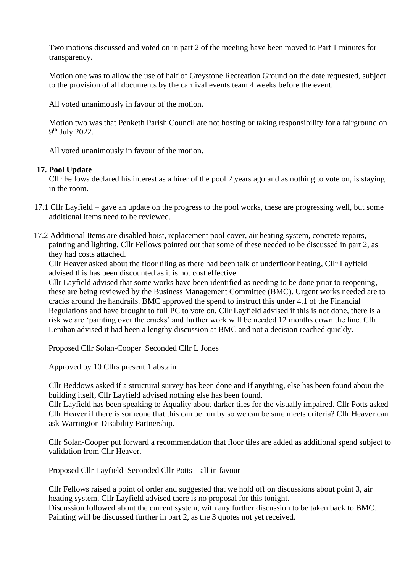Two motions discussed and voted on in part 2 of the meeting have been moved to Part 1 minutes for transparency.

Motion one was to allow the use of half of Greystone Recreation Ground on the date requested, subject to the provision of all documents by the carnival events team 4 weeks before the event.

All voted unanimously in favour of the motion.

Motion two was that Penketh Parish Council are not hosting or taking responsibility for a fairground on 9<sup>th</sup> July 2022.

All voted unanimously in favour of the motion.

#### **17. Pool Update**

Cllr Fellows declared his interest as a hirer of the pool 2 years ago and as nothing to vote on, is staying in the room.

- 17.1 Cllr Layfield gave an update on the progress to the pool works, these are progressing well, but some additional items need to be reviewed.
- 17.2 Additional Items are disabled hoist, replacement pool cover, air heating system, concrete repairs, painting and lighting. Cllr Fellows pointed out that some of these needed to be discussed in part 2, as they had costs attached.

Cllr Heaver asked about the floor tiling as there had been talk of underfloor heating, Cllr Layfield advised this has been discounted as it is not cost effective.

Cllr Layfield advised that some works have been identified as needing to be done prior to reopening, these are being reviewed by the Business Management Committee (BMC). Urgent works needed are to cracks around the handrails. BMC approved the spend to instruct this under 4.1 of the Financial Regulations and have brought to full PC to vote on. Cllr Layfield advised if this is not done, there is a risk we are 'painting over the cracks' and further work will be needed 12 months down the line. Cllr Lenihan advised it had been a lengthy discussion at BMC and not a decision reached quickly.

Proposed Cllr Solan-Cooper Seconded Cllr L Jones

Approved by 10 Cllrs present 1 abstain

Cllr Beddows asked if a structural survey has been done and if anything, else has been found about the building itself, Cllr Layfield advised nothing else has been found.

Cllr Layfield has been speaking to Aquality about darker tiles for the visually impaired. Cllr Potts asked Cllr Heaver if there is someone that this can be run by so we can be sure meets criteria? Cllr Heaver can ask Warrington Disability Partnership.

Cllr Solan-Cooper put forward a recommendation that floor tiles are added as additional spend subject to validation from Cllr Heaver.

Proposed Cllr Layfield Seconded Cllr Potts – all in favour

Cllr Fellows raised a point of order and suggested that we hold off on discussions about point 3, air heating system. Cllr Layfield advised there is no proposal for this tonight.

Discussion followed about the current system, with any further discussion to be taken back to BMC. Painting will be discussed further in part 2, as the 3 quotes not yet received.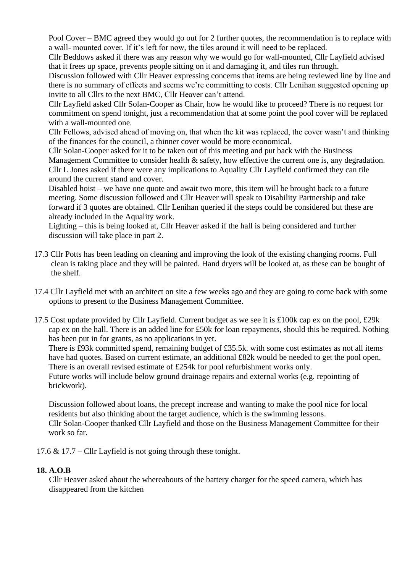Pool Cover – BMC agreed they would go out for 2 further quotes, the recommendation is to replace with a wall- mounted cover. If it's left for now, the tiles around it will need to be replaced.

Cllr Beddows asked if there was any reason why we would go for wall-mounted, Cllr Layfield advised that it frees up space, prevents people sitting on it and damaging it, and tiles run through.

Discussion followed with Cllr Heaver expressing concerns that items are being reviewed line by line and there is no summary of effects and seems we're committing to costs. Cllr Lenihan suggested opening up invite to all Cllrs to the next BMC, Cllr Heaver can't attend.

Cllr Layfield asked Cllr Solan-Cooper as Chair, how he would like to proceed? There is no request for commitment on spend tonight, just a recommendation that at some point the pool cover will be replaced with a wall-mounted one.

Cllr Fellows, advised ahead of moving on, that when the kit was replaced, the cover wasn't and thinking of the finances for the council, a thinner cover would be more economical.

Cllr Solan-Cooper asked for it to be taken out of this meeting and put back with the Business Management Committee to consider health & safety, how effective the current one is, any degradation. Cllr L Jones asked if there were any implications to Aquality Cllr Layfield confirmed they can tile around the current stand and cover.

Disabled hoist – we have one quote and await two more, this item will be brought back to a future meeting. Some discussion followed and Cllr Heaver will speak to Disability Partnership and take forward if 3 quotes are obtained. Cllr Lenihan queried if the steps could be considered but these are already included in the Aquality work.

Lighting – this is being looked at, Cllr Heaver asked if the hall is being considered and further discussion will take place in part 2.

- 17.3 Cllr Potts has been leading on cleaning and improving the look of the existing changing rooms. Full clean is taking place and they will be painted. Hand dryers will be looked at, as these can be bought of the shelf.
- 17.4 Cllr Layfield met with an architect on site a few weeks ago and they are going to come back with some options to present to the Business Management Committee.
- 17.5 Cost update provided by Cllr Layfield. Current budget as we see it is £100k cap ex on the pool, £29k cap ex on the hall. There is an added line for £50k for loan repayments, should this be required. Nothing has been put in for grants, as no applications in yet.

There is £93k committed spend, remaining budget of £35.5k. with some cost estimates as not all items have had quotes. Based on current estimate, an additional £82k would be needed to get the pool open. There is an overall revised estimate of £254k for pool refurbishment works only.

Future works will include below ground drainage repairs and external works (e.g. repointing of brickwork).

Discussion followed about loans, the precept increase and wanting to make the pool nice for local residents but also thinking about the target audience, which is the swimming lessons. Cllr Solan-Cooper thanked Cllr Layfield and those on the Business Management Committee for their work so far.

17.6 & 17.7 – Cllr Layfield is not going through these tonight.

## **18. A.O.B**

Cllr Heaver asked about the whereabouts of the battery charger for the speed camera, which has disappeared from the kitchen